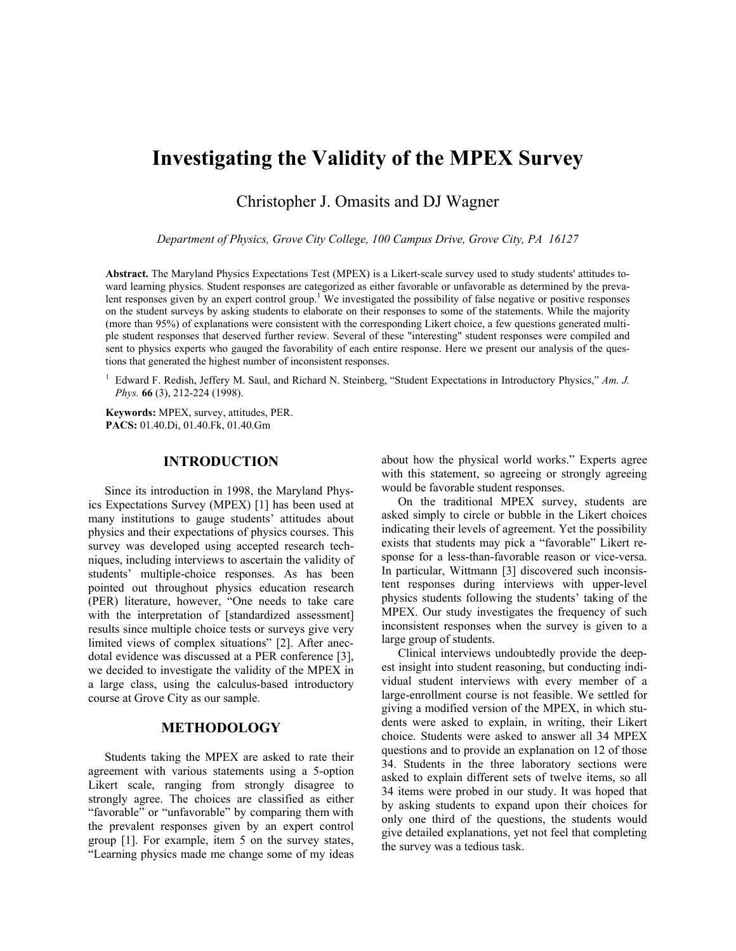# **Investigating the Validity of the MPEX Survey**

Christopher J. Omasits and DJ Wagner

*Department of Physics, Grove City College, 100 Campus Drive, Grove City, PA 16127* 

**Abstract.** The Maryland Physics Expectations Test (MPEX) is a Likert-scale survey used to study students' attitudes toward learning physics. Student responses are categorized as either favorable or unfavorable as determined by the prevalent responses given by an expert control group.<sup>1</sup> We investigated the possibility of false negative or positive responses on the student surveys by asking students to elaborate on their responses to some of the statements. While the majority (more than 95%) of explanations were consistent with the corresponding Likert choice, a few questions generated multiple student responses that deserved further review. Several of these "interesting" student responses were compiled and sent to physics experts who gauged the favorability of each entire response. Here we present our analysis of the questions that generated the highest number of inconsistent responses.

<sup>1</sup> Edward F. Redish, Jeffery M. Saul, and Richard N. Steinberg, "Student Expectations in Introductory Physics," Am. J. *Phys.* **66** (3), 212-224 (1998).

**Keywords:** MPEX, survey, attitudes, PER. **PACS:** 01.40.Di, 01.40.Fk, 01.40.Gm

# **INTRODUCTION**

Since its introduction in 1998, the Maryland Physics Expectations Survey (MPEX) [1] has been used at many institutions to gauge students' attitudes about physics and their expectations of physics courses. This survey was developed using accepted research techniques, including interviews to ascertain the validity of students' multiple-choice responses. As has been pointed out throughout physics education research (PER) literature, however, "One needs to take care with the interpretation of [standardized assessment] results since multiple choice tests or surveys give very limited views of complex situations" [2]. After anecdotal evidence was discussed at a PER conference [3], we decided to investigate the validity of the MPEX in a large class, using the calculus-based introductory course at Grove City as our sample.

## **METHODOLOGY**

Students taking the MPEX are asked to rate their agreement with various statements using a 5-option Likert scale, ranging from strongly disagree to strongly agree. The choices are classified as either "favorable" or "unfavorable" by comparing them with the prevalent responses given by an expert control group [1]. For example, item 5 on the survey states, "Learning physics made me change some of my ideas

about how the physical world works." Experts agree with this statement, so agreeing or strongly agreeing would be favorable student responses.

On the traditional MPEX survey, students are asked simply to circle or bubble in the Likert choices indicating their levels of agreement. Yet the possibility exists that students may pick a "favorable" Likert response for a less-than-favorable reason or vice-versa. In particular, Wittmann [3] discovered such inconsistent responses during interviews with upper-level physics students following the students' taking of the MPEX. Our study investigates the frequency of such inconsistent responses when the survey is given to a large group of students.

Clinical interviews undoubtedly provide the deepest insight into student reasoning, but conducting individual student interviews with every member of a large-enrollment course is not feasible. We settled for giving a modified version of the MPEX, in which students were asked to explain, in writing, their Likert choice. Students were asked to answer all 34 MPEX questions and to provide an explanation on 12 of those 34. Students in the three laboratory sections were asked to explain different sets of twelve items, so all 34 items were probed in our study. It was hoped that by asking students to expand upon their choices for only one third of the questions, the students would give detailed explanations, yet not feel that completing the survey was a tedious task.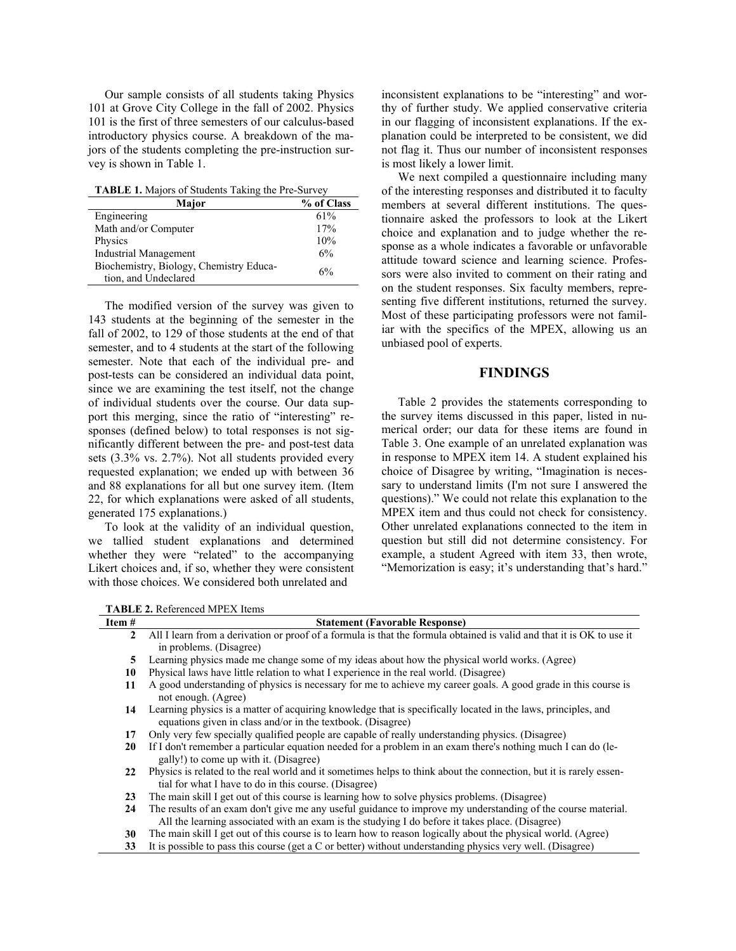Our sample consists of all students taking Physics 101 at Grove City College in the fall of 2002. Physics 101 is the first of three semesters of our calculus-based introductory physics course. A breakdown of the majors of the students completing the pre-instruction survey is shown in Table 1.

**TABLE 1.** Majors of Students Taking the Pre-Survey

| % of Class |
|------------|
| 61%        |
| 17%        |
| 10%        |
| 6%         |
| 6%         |
|            |

The modified version of the survey was given to 143 students at the beginning of the semester in the fall of 2002, to 129 of those students at the end of that semester, and to 4 students at the start of the following semester. Note that each of the individual pre- and post-tests can be considered an individual data point, since we are examining the test itself, not the change of individual students over the course. Our data support this merging, since the ratio of "interesting" responses (defined below) to total responses is not significantly different between the pre- and post-test data sets (3.3% vs. 2.7%). Not all students provided every requested explanation; we ended up with between 36 and 88 explanations for all but one survey item. (Item 22, for which explanations were asked of all students, generated 175 explanations.)

To look at the validity of an individual question, we tallied student explanations and determined whether they were "related" to the accompanying Likert choices and, if so, whether they were consistent with those choices. We considered both unrelated and

inconsistent explanations to be "interesting" and worthy of further study. We applied conservative criteria in our flagging of inconsistent explanations. If the explanation could be interpreted to be consistent, we did not flag it. Thus our number of inconsistent responses is most likely a lower limit.

We next compiled a questionnaire including many of the interesting responses and distributed it to faculty members at several different institutions. The questionnaire asked the professors to look at the Likert choice and explanation and to judge whether the response as a whole indicates a favorable or unfavorable attitude toward science and learning science. Professors were also invited to comment on their rating and on the student responses. Six faculty members, representing five different institutions, returned the survey. Most of these participating professors were not familiar with the specifics of the MPEX, allowing us an unbiased pool of experts.

# **FINDINGS**

Table 2 provides the statements corresponding to the survey items discussed in this paper, listed in numerical order; our data for these items are found in Table 3. One example of an unrelated explanation was in response to MPEX item 14. A student explained his choice of Disagree by writing, "Imagination is necessary to understand limits (I'm not sure I answered the questions)." We could not relate this explanation to the MPEX item and thus could not check for consistency. Other unrelated explanations connected to the item in question but still did not determine consistency. For example, a student Agreed with item 33, then wrote, "Memorization is easy; it's understanding that's hard."

**TABLE 2.** Referenced MPEX Items

| Item $#$     | <b>Statement (Favorable Response)</b>                                                                                                                                                                           |
|--------------|-----------------------------------------------------------------------------------------------------------------------------------------------------------------------------------------------------------------|
| $\mathbf{2}$ | All I learn from a derivation or proof of a formula is that the formula obtained is valid and that it is OK to use it                                                                                           |
|              | in problems. (Disagree)                                                                                                                                                                                         |
| 5            | Learning physics made me change some of my ideas about how the physical world works. (Agree)                                                                                                                    |
| 10           | Physical laws have little relation to what I experience in the real world. (Disagree)                                                                                                                           |
| 11           | A good understanding of physics is necessary for me to achieve my career goals. A good grade in this course is<br>not enough. (Agree)                                                                           |
| 14           | Learning physics is a matter of acquiring knowledge that is specifically located in the laws, principles, and<br>equations given in class and/or in the textbook. (Disagree)                                    |
| 17           | Only very few specially qualified people are capable of really understanding physics. (Disagree)                                                                                                                |
| 20           | If I don't remember a particular equation needed for a problem in an exam there's nothing much I can do (le-<br>gally!) to come up with it. (Disagree)                                                          |
| 22           | Physics is related to the real world and it sometimes helps to think about the connection, but it is rarely essen-<br>tial for what I have to do in this course. (Disagree)                                     |
| 23           | The main skill I get out of this course is learning how to solve physics problems. (Disagree)                                                                                                                   |
| 24           | The results of an exam don't give me any useful guidance to improve my understanding of the course material.<br>All the learning associated with an exam is the studying I do before it takes place. (Disagree) |
| 30           | The main skill I get out of this course is to learn how to reason logically about the physical world. (Agree)                                                                                                   |
| 33           | It is possible to pass this course (get a C or better) without understanding physics very well. (Disagree)                                                                                                      |
|              |                                                                                                                                                                                                                 |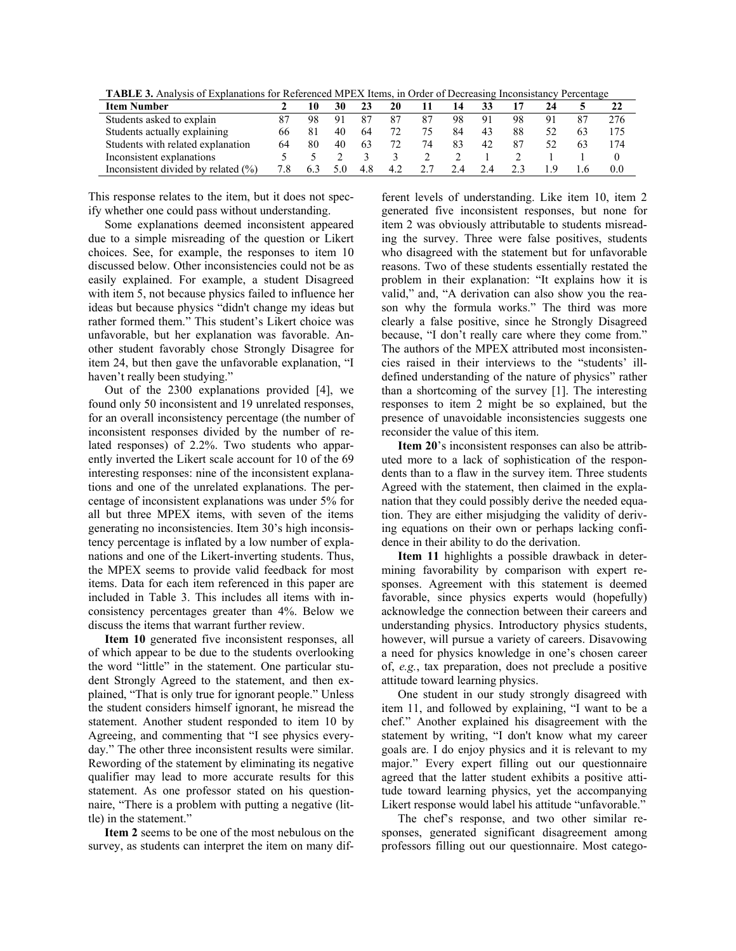**TABLE 3.** Analysis of Explanations for Referenced MPEX Items, in Order of Decreasing Inconsistancy Percentage

| <b>Item Number</b>                      |    |    |    |    | 20 |    |     |    |    |  |     |
|-----------------------------------------|----|----|----|----|----|----|-----|----|----|--|-----|
| Students asked to explain               |    | 98 | 91 |    |    | 87 | 98  | 91 | 98 |  | 276 |
| Students actually explaining            | 66 |    | 40 | 64 |    | 75 | 84  | 43 | 88 |  |     |
| Students with related explanation       | 64 | 80 | 40 | 63 | 72 | 74 | 83  | 42 | 87 |  | 174 |
| Inconsistent explanations               |    |    |    |    |    |    |     |    |    |  |     |
| Inconsistent divided by related $(\% )$ |    |    |    |    | 42 |    | 2.4 |    |    |  | 0.0 |

This response relates to the item, but it does not specify whether one could pass without understanding.

Some explanations deemed inconsistent appeared due to a simple misreading of the question or Likert choices. See, for example, the responses to item 10 discussed below. Other inconsistencies could not be as easily explained. For example, a student Disagreed with item 5, not because physics failed to influence her ideas but because physics "didn't change my ideas but rather formed them." This student's Likert choice was unfavorable, but her explanation was favorable. Another student favorably chose Strongly Disagree for item 24, but then gave the unfavorable explanation, "I haven't really been studying."

Out of the 2300 explanations provided [4], we found only 50 inconsistent and 19 unrelated responses, for an overall inconsistency percentage (the number of inconsistent responses divided by the number of related responses) of 2.2%. Two students who apparently inverted the Likert scale account for 10 of the 69 interesting responses: nine of the inconsistent explanations and one of the unrelated explanations. The percentage of inconsistent explanations was under 5% for all but three MPEX items, with seven of the items generating no inconsistencies. Item 30's high inconsistency percentage is inflated by a low number of explanations and one of the Likert-inverting students. Thus, the MPEX seems to provide valid feedback for most items. Data for each item referenced in this paper are included in Table 3. This includes all items with inconsistency percentages greater than 4%. Below we discuss the items that warrant further review.

**Item 10** generated five inconsistent responses, all of which appear to be due to the students overlooking the word "little" in the statement. One particular student Strongly Agreed to the statement, and then explained, "That is only true for ignorant people." Unless the student considers himself ignorant, he misread the statement. Another student responded to item 10 by Agreeing, and commenting that "I see physics everyday." The other three inconsistent results were similar. Rewording of the statement by eliminating its negative qualifier may lead to more accurate results for this statement. As one professor stated on his questionnaire, "There is a problem with putting a negative (little) in the statement."

**Item 2** seems to be one of the most nebulous on the survey, as students can interpret the item on many different levels of understanding. Like item 10, item 2 generated five inconsistent responses, but none for item 2 was obviously attributable to students misreading the survey. Three were false positives, students who disagreed with the statement but for unfavorable reasons. Two of these students essentially restated the problem in their explanation: "It explains how it is valid," and, "A derivation can also show you the reason why the formula works." The third was more clearly a false positive, since he Strongly Disagreed because, "I don't really care where they come from." The authors of the MPEX attributed most inconsistencies raised in their interviews to the "students' illdefined understanding of the nature of physics" rather than a shortcoming of the survey [1]. The interesting responses to item 2 might be so explained, but the presence of unavoidable inconsistencies suggests one reconsider the value of this item.

**Item 20**'s inconsistent responses can also be attributed more to a lack of sophistication of the respondents than to a flaw in the survey item. Three students Agreed with the statement, then claimed in the explanation that they could possibly derive the needed equation. They are either misjudging the validity of deriving equations on their own or perhaps lacking confidence in their ability to do the derivation.

**Item 11** highlights a possible drawback in determining favorability by comparison with expert responses. Agreement with this statement is deemed favorable, since physics experts would (hopefully) acknowledge the connection between their careers and understanding physics. Introductory physics students, however, will pursue a variety of careers. Disavowing a need for physics knowledge in one's chosen career of, *e.g.*, tax preparation, does not preclude a positive attitude toward learning physics.

One student in our study strongly disagreed with item 11, and followed by explaining, "I want to be a chef." Another explained his disagreement with the statement by writing, "I don't know what my career goals are. I do enjoy physics and it is relevant to my major." Every expert filling out our questionnaire agreed that the latter student exhibits a positive attitude toward learning physics, yet the accompanying Likert response would label his attitude "unfavorable."

The chef's response, and two other similar responses, generated significant disagreement among professors filling out our questionnaire. Most catego